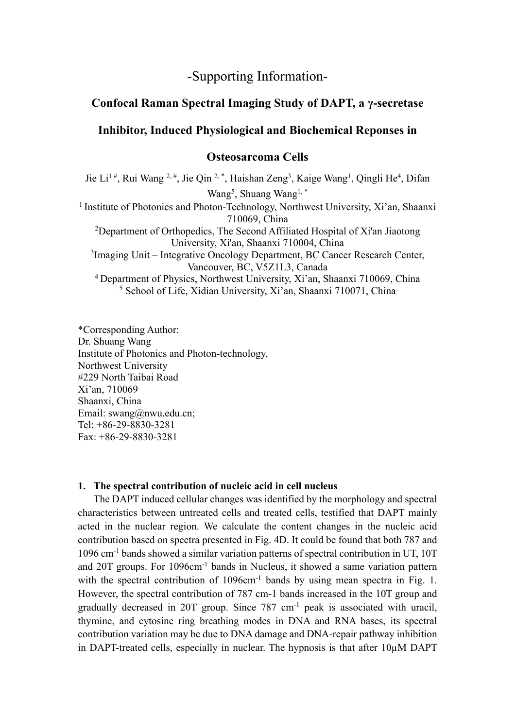# -Supporting Information-

## **Confocal Raman Spectral Imaging Study of DAPT, a γ-secretase**

### **Inhibitor, Induced Physiological and Biochemical Reponses in**

### **Osteosarcoma Cells**

Jie Li<sup>1#</sup>, Rui Wang <sup>2,#</sup>, Jie Qin <sup>2,\*</sup>, Haishan Zeng<sup>3</sup>, Kaige Wang<sup>1</sup>, Qingli He<sup>4</sup>, Difan Wang<sup>5</sup>, Shuang Wang<sup>1,\*</sup> <sup>1</sup> Institute of Photonics and Photon-Technology, Northwest University, Xi'an, Shaanxi 710069, China <sup>2</sup>Department of Orthopedics, The Second Affiliated Hospital of Xi'an Jiaotong University, Xi'an, Shaanxi 710004, China <sup>3</sup>Imaging Unit – Integrative Oncology Department, BC Cancer Research Center, Vancouver, BC, V5Z1L3, Canada 4 Department of Physics, Northwest University, Xi'an, Shaanxi 710069, China <sup>5</sup> School of Life, Xidian University, Xi'an, Shaanxi 710071, China

\*Corresponding Author: Dr. Shuang Wang Institute of Photonics and Photon-technology, Northwest University #229 North Taibai Road Xi'an, 710069 Shaanxi, China Email: swang@nwu.edu.cn; Tel: +86-29-8830-3281 Fax: +86-29-8830-3281

#### **1. The spectral contribution of nucleic acid in cell nucleus**

The DAPT induced cellular changes was identified by the morphology and spectral characteristics between untreated cells and treated cells, testified that DAPT mainly acted in the nuclear region. We calculate the content changes in the nucleic acid contribution based on spectra presented in Fig. 4D. It could be found that both 787 and 1096 cm-1 bands showed a similar variation patterns of spectral contribution in UT, 10T and 20T groups. For 1096cm<sup>-1</sup> bands in Nucleus, it showed a same variation pattern with the spectral contribution of 1096cm<sup>-1</sup> bands by using mean spectra in Fig. 1. However, the spectral contribution of 787 cm-1 bands increased in the 10T group and gradually decreased in 20T group. Since  $787 \text{ cm}^{-1}$  peak is associated with uracil, thymine, and cytosine ring breathing modes in DNA and RNA bases, its spectral contribution variation may be due to DNA damage and DNA-repair pathway inhibition in DAPT-treated cells, especially in nuclear. The hypnosis is that after 10µM DAPT